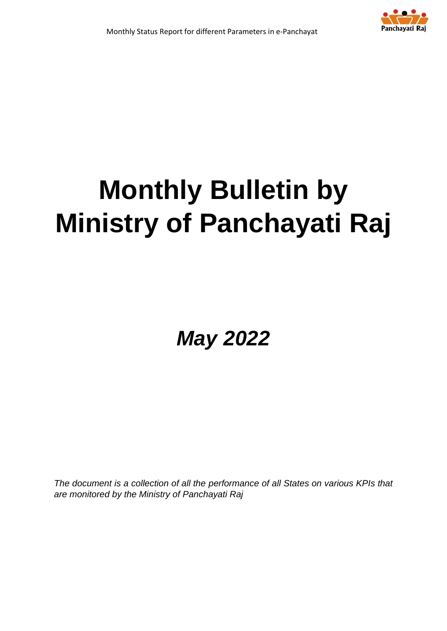

# **Monthly Bulletin by Ministry of Panchayati Raj**

*May 2022*

*The document is a collection of all the performance of all States on various KPIs that are monitored by the Ministry of Panchayati Raj*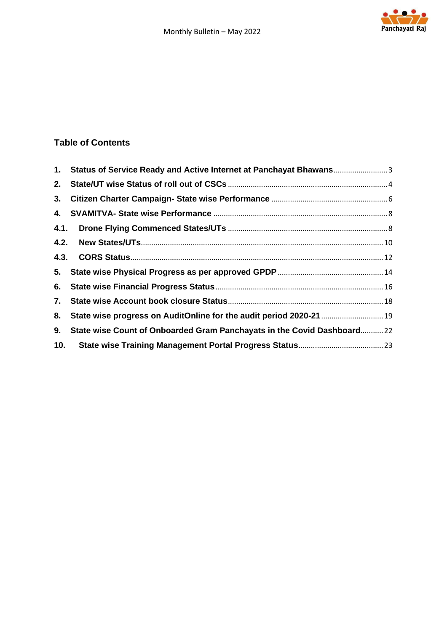

### **Table of Contents**

|     | 1. Status of Service Ready and Active Internet at Panchayat Bhawans    |  |
|-----|------------------------------------------------------------------------|--|
|     |                                                                        |  |
|     |                                                                        |  |
|     |                                                                        |  |
|     |                                                                        |  |
|     |                                                                        |  |
|     |                                                                        |  |
|     |                                                                        |  |
|     |                                                                        |  |
|     |                                                                        |  |
| 8.  | State wise progress on AuditOnline for the audit period 2020-21  19    |  |
| 9.  | State wise Count of Onboarded Gram Panchayats in the Covid Dashboard22 |  |
| 10. |                                                                        |  |
|     |                                                                        |  |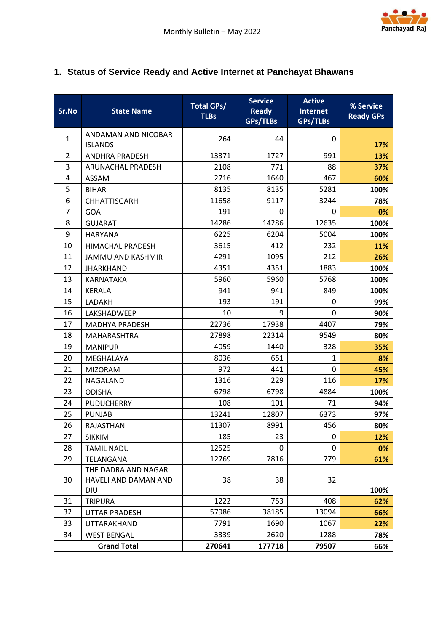

# <span id="page-2-0"></span>**1. Status of Service Ready and Active Internet at Panchayat Bhawans**

| Sr.No          | <b>State Name</b>                           | <b>Total GPs/</b><br><b>TLBs</b> | <b>Service</b><br><b>Ready</b><br><b>GPs/TLBs</b> | <b>Active</b><br>Internet<br>GPs/TLBs | % Service<br><b>Ready GPs</b> |
|----------------|---------------------------------------------|----------------------------------|---------------------------------------------------|---------------------------------------|-------------------------------|
| $\mathbf{1}$   | ANDAMAN AND NICOBAR<br><b>ISLANDS</b>       | 264                              | 44                                                | 0                                     | 17%                           |
| 2              | <b>ANDHRA PRADESH</b>                       | 13371                            | 1727                                              | 991                                   | 13%                           |
| 3              | <b>ARUNACHAL PRADESH</b>                    | 2108                             | 771                                               | 88                                    | 37%                           |
| 4              | <b>ASSAM</b>                                | 2716                             | 1640                                              | 467                                   | 60%                           |
| 5              | <b>BIHAR</b>                                | 8135                             | 8135                                              | 5281                                  | 100%                          |
| 6              | <b>CHHATTISGARH</b>                         | 11658                            | 9117                                              | 3244                                  | 78%                           |
| $\overline{7}$ | <b>GOA</b>                                  | 191                              | 0                                                 | 0                                     | 0%                            |
| 8              | <b>GUJARAT</b>                              | 14286                            | 14286                                             | 12635                                 | 100%                          |
| 9              | <b>HARYANA</b>                              | 6225                             | 6204                                              | 5004                                  | 100%                          |
| 10             | HIMACHAL PRADESH                            | 3615                             | 412                                               | 232                                   | 11%                           |
| 11             | <b>JAMMU AND KASHMIR</b>                    | 4291                             | 1095                                              | 212                                   | 26%                           |
| 12             | <b>JHARKHAND</b>                            | 4351                             | 4351                                              | 1883                                  | 100%                          |
| 13             | KARNATAKA                                   | 5960                             | 5960                                              | 5768                                  | 100%                          |
| 14             | <b>KERALA</b>                               | 941                              | 941                                               | 849                                   | 100%                          |
| 15             | LADAKH                                      | 193                              | 191                                               | 0                                     | 99%                           |
| 16             | LAKSHADWEEP                                 | 10                               | 9                                                 | 0                                     | 90%                           |
| 17             | <b>MADHYA PRADESH</b>                       | 22736                            | 17938                                             | 4407                                  | 79%                           |
| 18             | <b>MAHARASHTRA</b>                          | 27898                            | 22314                                             | 9549                                  | 80%                           |
| 19             | <b>MANIPUR</b>                              | 4059                             | 1440                                              | 328                                   | 35%                           |
| 20             | MEGHALAYA                                   | 8036                             | 651                                               | $\mathbf{1}$                          | 8%                            |
| 21             | <b>MIZORAM</b>                              | 972                              | 441                                               | 0                                     | 45%                           |
| 22             | NAGALAND                                    | 1316                             | 229                                               | 116                                   | 17%                           |
| 23             | <b>ODISHA</b>                               | 6798                             | 6798                                              | 4884                                  | 100%                          |
| 24             | <b>PUDUCHERRY</b>                           | 108                              | 101                                               | 71                                    | 94%                           |
| 25             | <b>PUNJAB</b>                               | 13241                            | 12807                                             | 6373                                  | 97%                           |
| 26             | <b>RAJASTHAN</b>                            | 11307                            | 8991                                              | 456                                   | 80%                           |
| 27             | <b>SIKKIM</b>                               | 185                              | 23                                                | 0                                     | 12%                           |
| 28             | <b>TAMIL NADU</b>                           | 12525                            | 0                                                 | 0                                     | 0%                            |
| 29             | TELANGANA                                   | 12769                            | 7816                                              | 779                                   | 61%                           |
| 30             | THE DADRA AND NAGAR<br>HAVELI AND DAMAN AND | 38                               | 38                                                | 32                                    |                               |
| 31             | <b>DIU</b>                                  | 1222                             | 753                                               | 408                                   | 100%                          |
| 32             | <b>TRIPURA</b>                              | 57986                            | 38185                                             | 13094                                 | 62%                           |
| 33             | UTTAR PRADESH                               | 7791                             | 1690                                              | 1067                                  | 66%                           |
| 34             | UTTARAKHAND<br><b>WEST BENGAL</b>           | 3339                             | 2620                                              | 1288                                  | 22%<br>78%                    |
|                | <b>Grand Total</b>                          | 270641                           | 177718                                            | 79507                                 | 66%                           |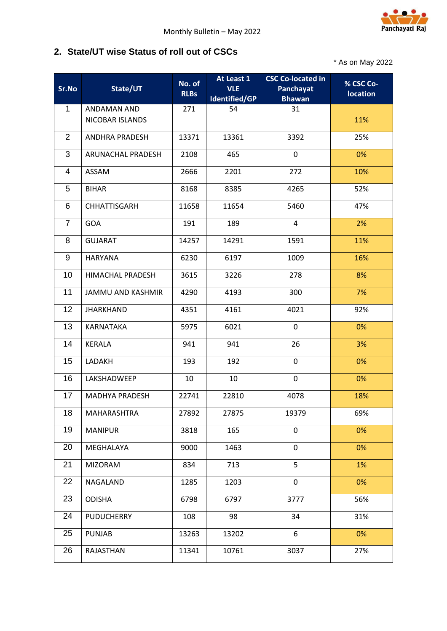

#### <span id="page-3-0"></span>**2. State/UT wise Status of roll out of CSCs**

\* As on May 2022

| Sr.No          | State/UT                       | No. of<br><b>RLBs</b> | At Least 1<br><b>VLE</b><br><b>Identified/GP</b> | <b>CSC Co-located in</b><br>Panchayat<br><b>Bhawan</b> | % CSC Co-<br><b>location</b> |
|----------------|--------------------------------|-----------------------|--------------------------------------------------|--------------------------------------------------------|------------------------------|
| $\mathbf{1}$   | ANDAMAN AND<br>NICOBAR ISLANDS | 271                   | 54                                               | 31                                                     | 11%                          |
| $\overline{2}$ | <b>ANDHRA PRADESH</b>          | 13371                 | 13361                                            | 3392                                                   | 25%                          |
| 3              | ARUNACHAL PRADESH              | 2108                  | 465                                              | $\mathbf 0$                                            | 0%                           |
| 4              | ASSAM                          | 2666                  | 2201                                             | 272                                                    | 10%                          |
| 5              | <b>BIHAR</b>                   | 8168                  | 8385                                             | 4265                                                   | 52%                          |
| 6              | <b>CHHATTISGARH</b>            | 11658                 | 11654                                            | 5460                                                   | 47%                          |
| $\overline{7}$ | <b>GOA</b>                     | 191                   | 189                                              | 4                                                      | 2%                           |
| 8              | <b>GUJARAT</b>                 | 14257                 | 14291                                            | 1591                                                   | 11%                          |
| 9              | <b>HARYANA</b>                 | 6230                  | 6197                                             | 1009                                                   | 16%                          |
| 10             | <b>HIMACHAL PRADESH</b>        | 3615                  | 3226                                             | 278                                                    | 8%                           |
| 11             | <b>JAMMU AND KASHMIR</b>       | 4290                  | 4193                                             | 300                                                    | 7%                           |
| 12             | <b>JHARKHAND</b>               | 4351                  | 4161                                             | 4021                                                   | 92%                          |
| 13             | KARNATAKA                      | 5975                  | 6021                                             | 0                                                      | 0%                           |
| 14             | KERALA                         | 941                   | 941                                              | 26                                                     | 3%                           |
| 15             | LADAKH                         | 193                   | 192                                              | $\mathbf 0$                                            | 0%                           |
| 16             | LAKSHADWEEP                    | 10                    | 10                                               | $\mathbf 0$                                            | 0%                           |
| 17             | <b>MADHYA PRADESH</b>          | 22741                 | 22810                                            | 4078                                                   | 18%                          |
| 18             | MAHARASHTRA                    | 27892                 | 27875                                            | 19379                                                  | 69%                          |
| 19             | <b>MANIPUR</b>                 | 3818                  | 165                                              | 0                                                      | 0%                           |
| 20             | MEGHALAYA                      | 9000                  | 1463                                             | $\mathbf 0$                                            | 0%                           |
| 21             | <b>MIZORAM</b>                 | 834                   | 713                                              | 5                                                      | 1%                           |
| 22             | NAGALAND                       | 1285                  | 1203                                             | $\mathbf 0$                                            | 0%                           |
| 23             | <b>ODISHA</b>                  | 6798                  | 6797                                             | 3777                                                   | 56%                          |
| 24             | <b>PUDUCHERRY</b>              | 108                   | 98                                               | 34                                                     | 31%                          |
| 25             | <b>PUNJAB</b>                  | 13263                 | 13202                                            | 6                                                      | 0%                           |
| 26             | RAJASTHAN                      | 11341                 | 10761                                            | 3037                                                   | 27%                          |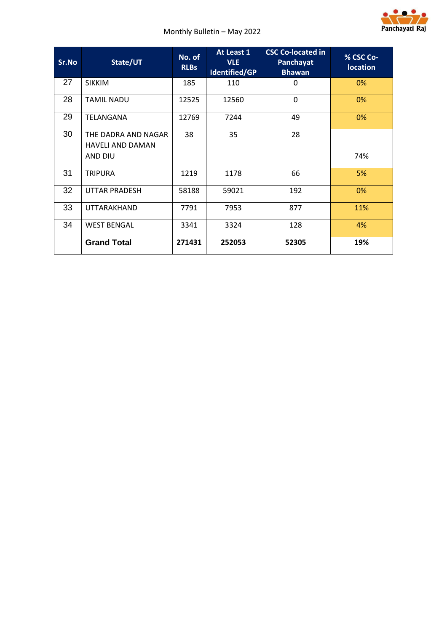

| Sr.No | State/UT                                                  | No. of<br><b>RLBs</b> | At Least 1<br><b>VLE</b><br>Identified/GP | <b>CSC Co-located in</b><br>Panchayat<br><b>Bhawan</b> | % CSC Co-<br><b>location</b> |
|-------|-----------------------------------------------------------|-----------------------|-------------------------------------------|--------------------------------------------------------|------------------------------|
| 27    | <b>SIKKIM</b>                                             | 185                   | 110                                       | 0                                                      | 0%                           |
| 28    | <b>TAMIL NADU</b>                                         | 12525                 | 12560                                     | $\mathbf 0$                                            | 0%                           |
| 29    | TELANGANA                                                 | 12769                 | 7244                                      | 49                                                     | 0%                           |
| 30    | THE DADRA AND NAGAR<br><b>HAVELI AND DAMAN</b><br>AND DIU | 38                    | 35                                        | 28                                                     | 74%                          |
| 31    | <b>TRIPURA</b>                                            | 1219                  | 1178                                      | 66                                                     | 5%                           |
| 32    | <b>UTTAR PRADESH</b>                                      | 58188                 | 59021                                     | 192                                                    | 0%                           |
| 33    | <b>UTTARAKHAND</b>                                        | 7791                  | 7953                                      | 877                                                    | 11%                          |
| 34    | <b>WEST BENGAL</b>                                        | 3341                  | 3324                                      | 128                                                    | 4%                           |
|       | <b>Grand Total</b>                                        | 271431                | 252053                                    | 52305                                                  | 19%                          |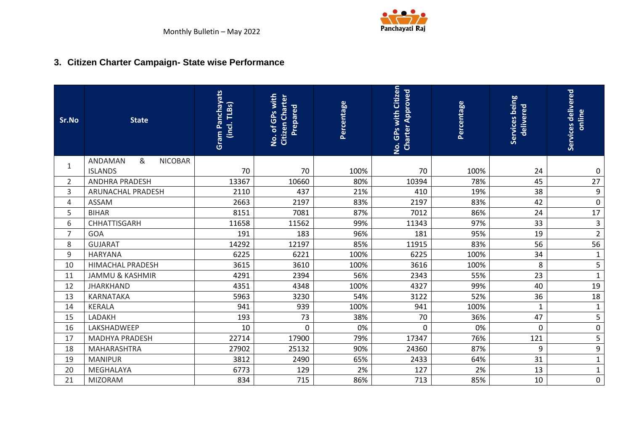

# **3. Citizen Charter Campaign- State wise Performance**

<span id="page-5-0"></span>

| Sr.No          | <b>State</b>                   | <b>Gram Panchayats</b><br>$(incl.$ TLBs) | No. of GPs with<br><b>Citizen Charter</b><br>Prepared | Percentage | No. GPs with Citizen<br><b>Charter Approved</b> | Percentage | Services being<br>delivered | Services delivered<br>online |
|----------------|--------------------------------|------------------------------------------|-------------------------------------------------------|------------|-------------------------------------------------|------------|-----------------------------|------------------------------|
| 1              | &<br>ANDAMAN<br><b>NICOBAR</b> |                                          |                                                       |            |                                                 |            |                             |                              |
|                | <b>ISLANDS</b>                 | 70                                       | 70                                                    | 100%       | 70                                              | 100%       | 24                          | $\boldsymbol{0}$             |
| $\overline{2}$ | <b>ANDHRA PRADESH</b>          | 13367                                    | 10660                                                 | 80%        | 10394                                           | 78%        | 45                          | $\overline{27}$              |
| 3              | ARUNACHAL PRADESH              | 2110                                     | 437                                                   | 21%        | 410                                             | 19%        | 38                          | 9                            |
| 4              | <b>ASSAM</b>                   | 2663                                     | 2197                                                  | 83%        | 2197                                            | 83%        | 42                          | $\pmb{0}$                    |
| 5              | <b>BIHAR</b>                   | 8151                                     | 7081                                                  | 87%        | 7012                                            | 86%        | 24                          | 17                           |
| 6              | CHHATTISGARH                   | 11658                                    | 11562                                                 | 99%        | 11343                                           | 97%        | 33                          | $\mathsf{3}$                 |
| $\overline{7}$ | GOA                            | 191                                      | 183                                                   | 96%        | 181                                             | 95%        | 19                          | $\overline{2}$               |
| 8              | <b>GUJARAT</b>                 | 14292                                    | 12197                                                 | 85%        | 11915                                           | 83%        | 56                          | 56                           |
| 9              | <b>HARYANA</b>                 | 6225                                     | 6221                                                  | 100%       | 6225                                            | 100%       | 34                          | $\mathbf{1}$                 |
| 10             | <b>HIMACHAL PRADESH</b>        | 3615                                     | 3610                                                  | 100%       | 3616                                            | 100%       | 8                           | 5                            |
| 11             | <b>JAMMU &amp; KASHMIR</b>     | 4291                                     | 2394                                                  | 56%        | 2343                                            | 55%        | 23                          | $\mathbf 1$                  |
| 12             | <b>JHARKHAND</b>               | 4351                                     | 4348                                                  | 100%       | 4327                                            | 99%        | 40                          | 19                           |
| 13             | <b>KARNATAKA</b>               | 5963                                     | 3230                                                  | 54%        | 3122                                            | 52%        | 36                          | 18                           |
| 14             | <b>KERALA</b>                  | 941                                      | 939                                                   | 100%       | 941                                             | 100%       | $\mathbf{1}$                | $\mathbf{1}$                 |
| 15             | LADAKH                         | 193                                      | 73                                                    | 38%        | 70                                              | 36%        | 47                          | 5                            |
| 16             | LAKSHADWEEP                    | 10                                       | 0                                                     | 0%         | $\mathbf{0}$                                    | 0%         | 0                           | $\pmb{0}$                    |
| 17             | <b>MADHYA PRADESH</b>          | 22714                                    | 17900                                                 | 79%        | 17347                                           | 76%        | 121                         | 5                            |
| 18             | MAHARASHTRA                    | 27902                                    | 25132                                                 | 90%        | 24360                                           | 87%        | 9                           | 9                            |
| 19             | <b>MANIPUR</b>                 | 3812                                     | 2490                                                  | 65%        | 2433                                            | 64%        | 31                          | $\mathbf{1}$                 |
| 20             | MEGHALAYA                      | 6773                                     | 129                                                   | 2%         | 127                                             | 2%         | 13                          | $\mathbf{1}$                 |
| 21             | <b>MIZORAM</b>                 | 834                                      | 715                                                   | 86%        | 713                                             | 85%        | 10                          | $\pmb{0}$                    |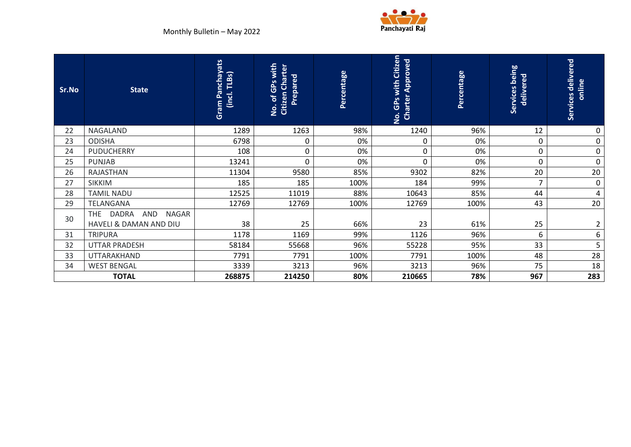

| Sr.No | <b>State</b>                                                                | <b>Gram Panchayats</b><br>TLBs)<br>(incl.) | No. of GPs with<br><b>Citizen Charter</b><br>Prepared | Percentage | No. GPs with Citizen<br><b>Charter Approved</b> | Percentage | Services being<br>delivered | Services delivered<br>online |
|-------|-----------------------------------------------------------------------------|--------------------------------------------|-------------------------------------------------------|------------|-------------------------------------------------|------------|-----------------------------|------------------------------|
| 22    | NAGALAND                                                                    | 1289                                       | 1263                                                  | 98%        | 1240                                            | 96%        | 12                          | 0                            |
| 23    | <b>ODISHA</b>                                                               | 6798                                       | 0                                                     | 0%         | $\mathbf 0$                                     | 0%         | 0                           | $\mathbf 0$                  |
| 24    | <b>PUDUCHERRY</b>                                                           | 108                                        | $\pmb{0}$                                             | 0%         | $\pmb{0}$                                       | 0%         | 0                           | $\mathbf 0$                  |
| 25    | <b>PUNJAB</b>                                                               | 13241                                      | $\mathbf 0$                                           | 0%         | $\mathbf 0$                                     | 0%         | 0                           | $\mathbf 0$                  |
| 26    | <b>RAJASTHAN</b>                                                            | 11304                                      | 9580                                                  | 85%        | 9302                                            | 82%        | 20                          | 20                           |
| 27    | <b>SIKKIM</b>                                                               | 185                                        | 185                                                   | 100%       | 184                                             | 99%        | 7                           | $\mathbf 0$                  |
| 28    | <b>TAMIL NADU</b>                                                           | 12525                                      | 11019                                                 | 88%        | 10643                                           | 85%        | 44                          | 4                            |
| 29    | TELANGANA                                                                   | 12769                                      | 12769                                                 | 100%       | 12769                                           | 100%       | 43                          | 20                           |
| 30    | <b>DADRA</b><br><b>THE</b><br>AND<br><b>NAGAR</b><br>HAVELI & DAMAN AND DIU | 38                                         | 25                                                    | 66%        | 23                                              | 61%        | 25                          | $\overline{2}$               |
| 31    | <b>TRIPURA</b>                                                              | 1178                                       | 1169                                                  | 99%        | 1126                                            | 96%        | 6                           | 6                            |
| 32    | <b>UTTAR PRADESH</b>                                                        | 58184                                      | 55668                                                 | 96%        | 55228                                           | 95%        | 33                          | 5                            |
| 33    | <b>UTTARAKHAND</b>                                                          | 7791                                       | 7791                                                  | 100%       | 7791                                            | 100%       | 48                          | 28                           |
| 34    | <b>WEST BENGAL</b>                                                          | 3339                                       | 3213                                                  | 96%        | 3213                                            | 96%        | 75                          | 18                           |
|       | <b>TOTAL</b>                                                                | 268875                                     | 214250                                                | 80%        | 210665                                          | 78%        | 967                         | 283                          |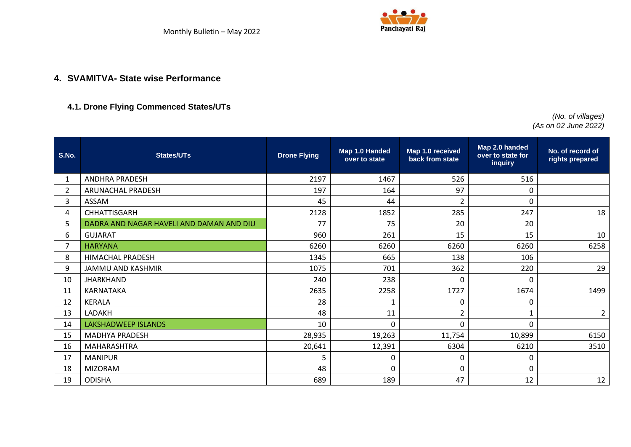

#### **4. SVAMITVA- State wise Performance**

#### **4.1. Drone Flying Commenced States/UTs**

 *(No. of villages) (As on 02 June 2022)*

<span id="page-7-1"></span><span id="page-7-0"></span>

| S.No.          | <b>States/UTs</b>                        | <b>Drone Flying</b> | Map 1.0 Handed<br>over to state | Map 1.0 received<br>back from state | Map 2.0 handed<br>over to state for<br>inquiry | No. of record of<br>rights prepared |
|----------------|------------------------------------------|---------------------|---------------------------------|-------------------------------------|------------------------------------------------|-------------------------------------|
| $\mathbf{1}$   | <b>ANDHRA PRADESH</b>                    | 2197                | 1467                            | 526                                 | 516                                            |                                     |
| $\overline{2}$ | <b>ARUNACHAL PRADESH</b>                 | 197                 | 164                             | 97                                  | 0                                              |                                     |
| 3              | ASSAM                                    | 45                  | 44                              | 2                                   | $\mathbf 0$                                    |                                     |
| 4              | CHHATTISGARH                             | 2128                | 1852                            | 285                                 | 247                                            | 18                                  |
| 5              | DADRA AND NAGAR HAVELI AND DAMAN AND DIU | 77                  | 75                              | 20                                  | 20                                             |                                     |
| 6              | <b>GUJARAT</b>                           | 960                 | 261                             | 15                                  | 15                                             | 10                                  |
| $\overline{7}$ | <b>HARYANA</b>                           | 6260                | 6260                            | 6260                                | 6260                                           | 6258                                |
| 8              | <b>HIMACHAL PRADESH</b>                  | 1345                | 665                             | 138                                 | 106                                            |                                     |
| 9              | JAMMU AND KASHMIR                        | 1075                | 701                             | 362                                 | 220                                            | 29                                  |
| 10             | <b>JHARKHAND</b>                         | 240                 | 238                             | $\Omega$                            | 0                                              |                                     |
| 11             | KARNATAKA                                | 2635                | 2258                            | 1727                                | 1674                                           | 1499                                |
| 12             | <b>KERALA</b>                            | 28                  | 1                               | $\mathbf 0$                         | 0                                              |                                     |
| 13             | LADAKH                                   | 48                  | 11                              | 2                                   | 1                                              | $\overline{2}$                      |
| 14             | <b>LAKSHADWEEP ISLANDS</b>               | 10                  | 0                               | $\Omega$                            | 0                                              |                                     |
| 15             | <b>MADHYA PRADESH</b>                    | 28,935              | 19,263                          | 11,754                              | 10,899                                         | 6150                                |
| 16             | MAHARASHTRA                              | 20,641              | 12,391                          | 6304                                | 6210                                           | 3510                                |
| 17             | <b>MANIPUR</b>                           | 5                   | 0                               | 0                                   | 0                                              |                                     |
| 18             | <b>MIZORAM</b>                           | 48                  | $\Omega$                        | $\Omega$                            | $\mathbf 0$                                    |                                     |
| 19             | <b>ODISHA</b>                            | 689                 | 189                             | 47                                  | 12                                             | 12                                  |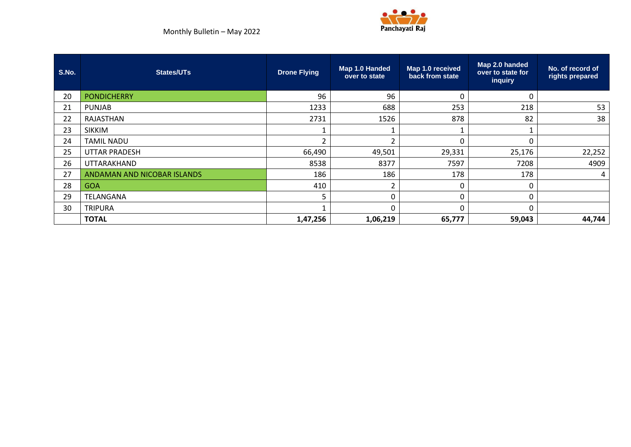



| S.No. | <b>States/UTs</b>           | <b>Drone Flying</b> | Map 1.0 Handed<br>over to state | Map 1.0 received<br>back from state | Map 2.0 handed<br>over to state for<br>inquiry | No. of record of<br>rights prepared |
|-------|-----------------------------|---------------------|---------------------------------|-------------------------------------|------------------------------------------------|-------------------------------------|
| 20    | <b>PONDICHERRY</b>          | 96                  | 96                              | -0                                  | 0                                              |                                     |
| 21    | <b>PUNJAB</b>               | 1233                | 688                             | 253                                 | 218                                            | 53                                  |
| 22    | RAJASTHAN                   | 2731                | 1526                            | 878                                 | 82                                             | 38                                  |
| 23    | <b>SIKKIM</b>               |                     |                                 |                                     |                                                |                                     |
| 24    | <b>TAMIL NADU</b>           | $\overline{2}$      | ີ                               | $\Omega$                            | 0                                              |                                     |
| 25    | <b>UTTAR PRADESH</b>        | 66,490              | 49,501                          | 29,331                              | 25,176                                         | 22,252                              |
| 26    | UTTARAKHAND                 | 8538                | 8377                            | 7597                                | 7208                                           | 4909                                |
| 27    | ANDAMAN AND NICOBAR ISLANDS | 186                 | 186                             | 178                                 | 178                                            | 4                                   |
| 28    | <b>GOA</b>                  | 410                 |                                 |                                     | 0                                              |                                     |
| 29    | TELANGANA                   | 5                   | O                               | ∩                                   | 0                                              |                                     |
| 30    | TRIPURA                     |                     |                                 |                                     | 0                                              |                                     |
|       | <b>TOTAL</b>                | 1,47,256            | 1,06,219                        | 65,777                              | 59,043                                         | 44,744                              |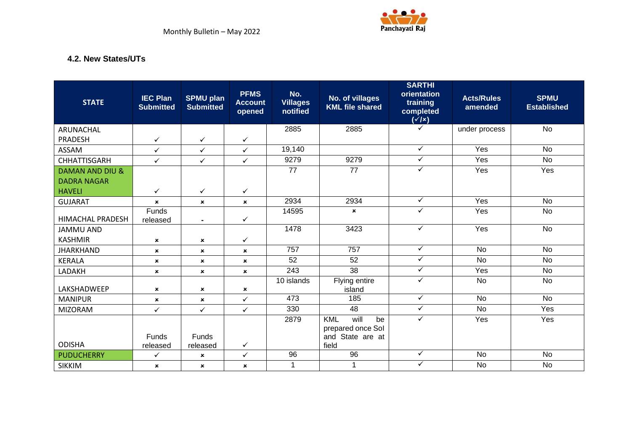

#### **4.2. New States/UTs**

<span id="page-9-0"></span>

| <b>STATE</b>               | <b>IEC Plan</b><br><b>Submitted</b> | <b>SPMU plan</b><br><b>Submitted</b> | <b>PFMS</b><br><b>Account</b><br>opened | No.<br><b>Villages</b><br>notified | No. of villages<br><b>KML file shared</b>                            | <b>SARTHI</b><br>orientation<br>training<br>completed<br>$(\sqrt{1})$ | <b>Acts/Rules</b><br>amended | <b>SPMU</b><br><b>Established</b> |
|----------------------------|-------------------------------------|--------------------------------------|-----------------------------------------|------------------------------------|----------------------------------------------------------------------|-----------------------------------------------------------------------|------------------------------|-----------------------------------|
| ARUNACHAL                  |                                     |                                      |                                         | 2885                               | 2885                                                                 | ✓                                                                     | under process                | <b>No</b>                         |
| <b>PRADESH</b>             | $\checkmark$                        | $\checkmark$                         | $\checkmark$                            |                                    |                                                                      |                                                                       |                              |                                   |
| ASSAM                      | $\checkmark$                        | $\checkmark$                         | $\checkmark$                            | 19,140                             |                                                                      | $\checkmark$                                                          | Yes                          | <b>No</b>                         |
| <b>CHHATTISGARH</b>        | $\checkmark$                        | $\checkmark$                         | $\checkmark$                            | 9279                               | 9279                                                                 | $\checkmark$                                                          | Yes                          | <b>No</b>                         |
| <b>DAMAN AND DIU &amp;</b> |                                     |                                      |                                         | 77                                 | 77                                                                   | $\checkmark$                                                          | Yes                          | Yes                               |
| <b>DADRA NAGAR</b>         |                                     |                                      |                                         |                                    |                                                                      |                                                                       |                              |                                   |
| <b>HAVELI</b>              | $\checkmark$                        | $\checkmark$                         | ✓                                       |                                    |                                                                      |                                                                       |                              |                                   |
| <b>GUJARAT</b>             | $\pmb{\times}$                      | $\boldsymbol{\mathsf{x}}$            | $\boldsymbol{\mathsf{x}}$               | 2934                               | 2934                                                                 | $\checkmark$                                                          | Yes                          | <b>No</b>                         |
| <b>HIMACHAL PRADESH</b>    | <b>Funds</b><br>released            | $\blacksquare$                       | ✓                                       | 14595                              | $\boldsymbol{\mathsf{x}}$                                            | $\checkmark$                                                          | Yes                          | <b>No</b>                         |
| <b>JAMMU AND</b>           |                                     |                                      |                                         | 1478                               | 3423                                                                 | $\checkmark$                                                          | Yes                          | <b>No</b>                         |
| <b>KASHMIR</b>             | $\pmb{\times}$                      | ×                                    | ✓                                       |                                    |                                                                      |                                                                       |                              |                                   |
| <b>JHARKHAND</b>           | $\pmb{\times}$                      | $\boldsymbol{\mathsf{x}}$            | $\boldsymbol{\mathsf{x}}$               | 757                                | 757                                                                  | ✓                                                                     | <b>No</b>                    | <b>No</b>                         |
| <b>KERALA</b>              | $\pmb{\times}$                      | $\boldsymbol{\mathsf{x}}$            | $\boldsymbol{\mathsf{x}}$               | 52                                 | 52                                                                   | $\checkmark$                                                          | No                           | <b>No</b>                         |
| LADAKH                     | $\pmb{\times}$                      | $\pmb{\times}$                       | $\pmb{\times}$                          | $\overline{243}$                   | 38                                                                   | $\checkmark$                                                          | Yes                          | <b>No</b>                         |
| LAKSHADWEEP                | $\pmb{\times}$                      | $\pmb{\times}$                       | $\pmb{\times}$                          | 10 islands                         | Flying entire<br>island                                              | $\checkmark$                                                          | <b>No</b>                    | <b>No</b>                         |
| <b>MANIPUR</b>             | $\pmb{\times}$                      | $\boldsymbol{\mathsf{x}}$            | $\checkmark$                            | 473                                | 185                                                                  | $\checkmark$                                                          | <b>No</b>                    | <b>No</b>                         |
| <b>MIZORAM</b>             | $\checkmark$                        | $\checkmark$                         | $\checkmark$                            | 330                                | $\overline{48}$                                                      | ✓                                                                     | <b>No</b>                    | Yes                               |
|                            | Funds                               | Funds                                |                                         | 2879                               | will<br><b>KML</b><br>be<br>prepared once Sol<br>State are at<br>and | $\checkmark$                                                          | Yes                          | Yes                               |
| <b>ODISHA</b>              | released                            | released                             | $\checkmark$                            |                                    | field                                                                |                                                                       |                              |                                   |
| <b>PUDUCHERRY</b>          | $\checkmark$                        | $\pmb{\times}$                       | $\checkmark$                            | 96                                 | 96                                                                   | $\checkmark$                                                          | <b>No</b>                    | No                                |
| <b>SIKKIM</b>              | $\pmb{\times}$                      | $\mathbf{x}$                         | $\mathbf{x}$                            | 1                                  | 1                                                                    | $\checkmark$                                                          | <b>No</b>                    | <b>No</b>                         |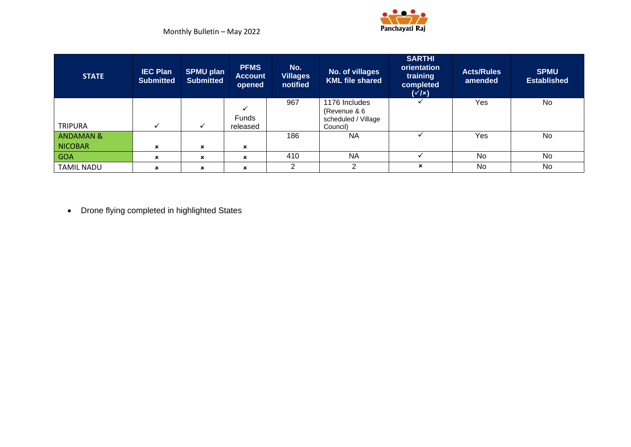

| <b>STATE</b>         | <b>IEC Plan</b><br><b>Submitted</b> | <b>SPMU plan</b><br><b>Submitted</b> | <b>PFMS</b><br><b>Account</b><br>opened | No.<br><b>Villages</b><br>notified | No. of villages<br><b>KML file shared</b> | <b>SARTHI</b><br>orientation<br>training<br>completed<br>$(\sqrt{x})$ | <b>Acts/Rules</b><br>amended | <b>SPMU</b><br><b>Established</b> |
|----------------------|-------------------------------------|--------------------------------------|-----------------------------------------|------------------------------------|-------------------------------------------|-----------------------------------------------------------------------|------------------------------|-----------------------------------|
|                      |                                     |                                      |                                         | 967                                | 1176 Includes                             |                                                                       | Yes                          | No                                |
|                      |                                     |                                      | <b>Funds</b>                            |                                    | (Revenue & 6<br>scheduled / Village       |                                                                       |                              |                                   |
| <b>TRIPURA</b>       | ✓                                   | $\checkmark$                         | released                                |                                    | Council)                                  |                                                                       |                              |                                   |
| <b>ANDAMAN &amp;</b> |                                     |                                      |                                         | 186                                | <b>NA</b>                                 |                                                                       | Yes                          | No                                |
| NICOBAR              | ×                                   | $\mathbf x$                          | $\mathbf x$                             |                                    |                                           |                                                                       |                              |                                   |
| GOA                  | $\pmb{\times}$                      | $\mathbf x$                          | $\mathbf x$                             | 410                                | <b>NA</b>                                 |                                                                       | <b>No</b>                    | No                                |
| <b>TAMIL NADU</b>    | $\mathbf x$                         | $\mathbf x$                          | $\mathbf x$                             | 2                                  | っ                                         | $\boldsymbol{\mathsf{x}}$                                             | No                           | No                                |

• Drone flying completed in highlighted States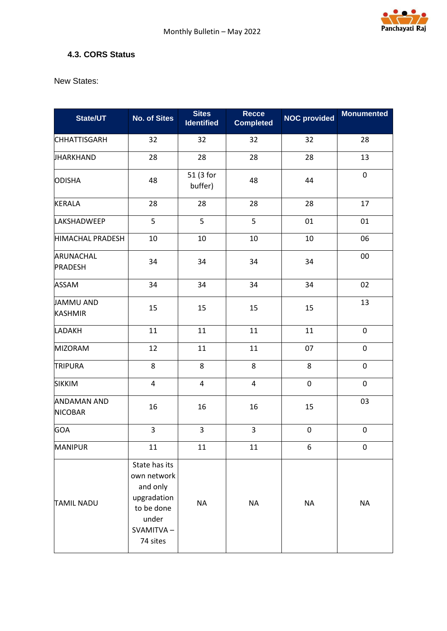

#### <span id="page-11-0"></span>**4.3. CORS Status**

New States:

| State/UT                             | <b>No. of Sites</b>                                                                                     | <b>Sites</b><br><b>Identified</b> | <b>Recce</b><br><b>Completed</b> | <b>NOC provided</b> | <b>Monumented</b> |
|--------------------------------------|---------------------------------------------------------------------------------------------------------|-----------------------------------|----------------------------------|---------------------|-------------------|
| <b>CHHATTISGARH</b>                  | 32                                                                                                      | 32                                | 32                               | 32                  | 28                |
| JHARKHAND                            | 28                                                                                                      | 28                                | 28                               | 28                  | 13                |
| <b>ODISHA</b>                        | 48                                                                                                      | 51 (3 for<br>buffer)              | 48                               | 44                  | $\pmb{0}$         |
| <b>KERALA</b>                        | 28                                                                                                      | 28                                | 28                               | 28                  | 17                |
| LAKSHADWEEP                          | 5                                                                                                       | 5                                 | 5                                | 01                  | 01                |
| <b>HIMACHAL PRADESH</b>              | 10                                                                                                      | 10                                | 10                               | 10                  | 06                |
| ARUNACHAL<br><b>PRADESH</b>          | 34                                                                                                      | 34                                | 34                               | 34                  | 00                |
| <b>ASSAM</b>                         | 34                                                                                                      | 34                                | 34                               | 34                  | 02                |
| JAMMU AND<br><b>KASHMIR</b>          | 15                                                                                                      | 15                                | 15                               | 15                  | 13                |
| <b>LADAKH</b>                        | 11                                                                                                      | 11                                | 11                               | 11                  | $\pmb{0}$         |
| <b>MIZORAM</b>                       | 12                                                                                                      | 11                                | 11                               | 07                  | $\mathbf 0$       |
| <b>TRIPURA</b>                       | 8                                                                                                       | 8                                 | 8                                | 8                   | $\mathbf 0$       |
| <b>SIKKIM</b>                        | 4                                                                                                       | $\pmb{4}$                         | $\overline{\mathbf{4}}$          | 0                   | $\pmb{0}$         |
| <b>ANDAMAN AND</b><br><b>NICOBAR</b> | 16                                                                                                      | 16                                | 16                               | 15                  | 03                |
| <b>GOA</b>                           | 3                                                                                                       | 3                                 | 3                                | 0                   | $\pmb{0}$         |
| <b>MANIPUR</b>                       | 11                                                                                                      | 11                                | 11                               | 6                   | $\pmb{0}$         |
| <b>TAMIL NADU</b>                    | State has its<br>own network<br>and only<br>upgradation<br>to be done<br>under<br>SVAMITVA-<br>74 sites | <b>NA</b>                         | <b>NA</b>                        | <b>NA</b>           | <b>NA</b>         |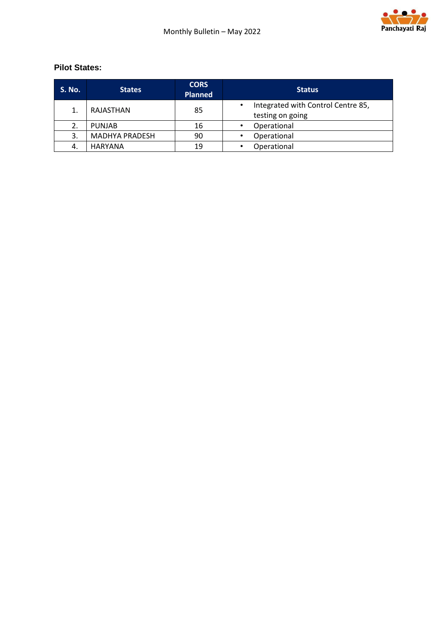

#### **Pilot States:**

| <b>S. No.</b> | <b>States</b>         | <b>CORS</b><br><b>Planned</b> | <b>Status</b>                                          |
|---------------|-----------------------|-------------------------------|--------------------------------------------------------|
| 1.            | RAJASTHAN             | 85                            | Integrated with Control Centre 85,<br>testing on going |
| 2.            | <b>PUNJAB</b>         | 16                            | Operational                                            |
| 3.            | <b>MADHYA PRADESH</b> | 90                            | Operational                                            |
| 4.            | <b>HARYANA</b>        | 19                            | Operational                                            |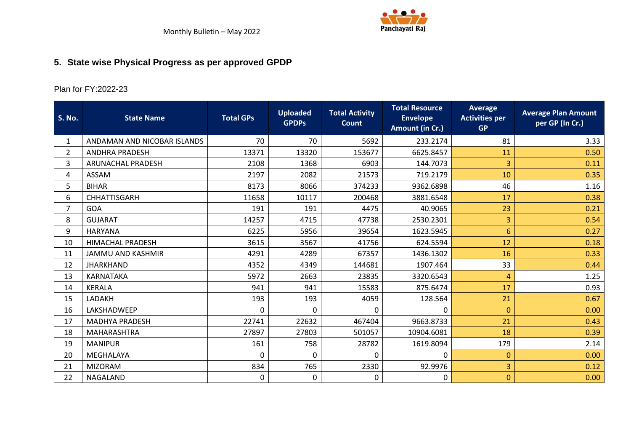

# **5. State wise Physical Progress as per approved GPDP**

## Plan for FY:2022-23

<span id="page-13-0"></span>

| <b>S. No.</b>  | <b>State Name</b>           | <b>Total GPs</b> | <b>Uploaded</b><br><b>GPDPs</b> | <b>Total Activity</b><br><b>Count</b> | <b>Total Resource</b><br><b>Envelope</b><br>Amount (in Cr.) | <b>Average</b><br><b>Activities per</b><br><b>GP</b> | <b>Average Plan Amount</b><br>per GP (In Cr.) |
|----------------|-----------------------------|------------------|---------------------------------|---------------------------------------|-------------------------------------------------------------|------------------------------------------------------|-----------------------------------------------|
| $\mathbf{1}$   | ANDAMAN AND NICOBAR ISLANDS | 70               | 70                              | 5692                                  | 233.2174                                                    | 81                                                   | 3.33                                          |
| $\overline{2}$ | <b>ANDHRA PRADESH</b>       | 13371            | 13320                           | 153677                                | 6625.8457                                                   | 11                                                   | 0.50                                          |
| 3              | ARUNACHAL PRADESH           | 2108             | 1368                            | 6903                                  | 144.7073                                                    | 3                                                    | 0.11                                          |
| 4              | <b>ASSAM</b>                | 2197             | 2082                            | 21573                                 | 719.2179                                                    | 10                                                   | 0.35                                          |
| 5              | <b>BIHAR</b>                | 8173             | 8066                            | 374233                                | 9362.6898                                                   | 46                                                   | 1.16                                          |
| 6              | <b>CHHATTISGARH</b>         | 11658            | 10117                           | 200468                                | 3881.6548                                                   | 17                                                   | 0.38                                          |
| $\overline{7}$ | <b>GOA</b>                  | 191              | 191                             | 4475                                  | 40.9065                                                     | 23                                                   | 0.21                                          |
| 8              | <b>GUJARAT</b>              | 14257            | 4715                            | 47738                                 | 2530.2301                                                   | 3                                                    | 0.54                                          |
| 9              | <b>HARYANA</b>              | 6225             | 5956                            | 39654                                 | 1623.5945                                                   | 6                                                    | 0.27                                          |
| 10             | <b>HIMACHAL PRADESH</b>     | 3615             | 3567                            | 41756                                 | 624.5594                                                    | 12                                                   | 0.18                                          |
| 11             | <b>JAMMU AND KASHMIR</b>    | 4291             | 4289                            | 67357                                 | 1436.1302                                                   | 16                                                   | 0.33                                          |
| 12             | <b>JHARKHAND</b>            | 4352             | 4349                            | 144681                                | 1907.464                                                    | 33                                                   | 0.44                                          |
| 13             | KARNATAKA                   | 5972             | 2663                            | 23835                                 | 3320.6543                                                   | 4                                                    | 1.25                                          |
| 14             | <b>KERALA</b>               | 941              | 941                             | 15583                                 | 875.6474                                                    | 17                                                   | 0.93                                          |
| 15             | LADAKH                      | 193              | 193                             | 4059                                  | 128.564                                                     | 21                                                   | 0.67                                          |
| 16             | LAKSHADWEEP                 | $\Omega$         | 0                               | 0                                     | 0                                                           | $\mathbf{0}$                                         | 0.00                                          |
| 17             | <b>MADHYA PRADESH</b>       | 22741            | 22632                           | 467404                                | 9663.8733                                                   | 21                                                   | 0.43                                          |
| 18             | MAHARASHTRA                 | 27897            | 27803                           | 501057                                | 10904.6081                                                  | 18                                                   | 0.39                                          |
| 19             | <b>MANIPUR</b>              | 161              | 758                             | 28782                                 | 1619.8094                                                   | 179                                                  | 2.14                                          |
| 20             | MEGHALAYA                   | 0                | $\Omega$                        | <sup>0</sup>                          | 0                                                           | $\mathbf{0}$                                         | 0.00                                          |
| 21             | <b>MIZORAM</b>              | 834              | 765                             | 2330                                  | 92.9976                                                     | 3                                                    | 0.12                                          |
| 22             | NAGALAND                    | $\mathbf 0$      | $\mathbf 0$                     | 0                                     | 0                                                           | $\overline{0}$                                       | 0.00                                          |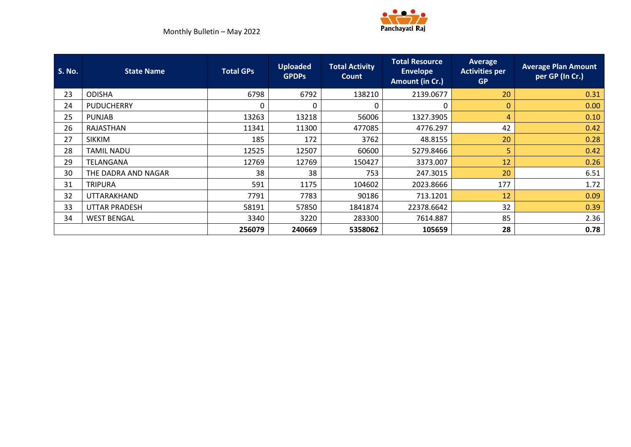

| <b>S. No.</b> | <b>State Name</b>    | <b>Total GPs</b> | <b>Uploaded</b><br><b>GPDPs</b> | <b>Total Activity</b><br>Count | <b>Total Resource</b><br><b>Envelope</b><br>Amount (in Cr.) | Average<br><b>Activities per</b><br><b>GP</b> | <b>Average Plan Amount</b><br>per GP (In Cr.) |
|---------------|----------------------|------------------|---------------------------------|--------------------------------|-------------------------------------------------------------|-----------------------------------------------|-----------------------------------------------|
| 23            | <b>ODISHA</b>        | 6798             | 6792                            | 138210                         | 2139.0677                                                   | 20                                            | 0.31                                          |
| 24            | <b>PUDUCHERRY</b>    | 0                | 0                               |                                | 0                                                           | $\mathbf{0}$                                  | 0.00                                          |
| 25            | <b>PUNJAB</b>        | 13263            | 13218                           | 56006                          | 1327.3905                                                   | $\overline{4}$                                | 0.10                                          |
| 26            | RAJASTHAN            | 11341            | 11300                           | 477085                         | 4776.297                                                    | 42                                            | 0.42                                          |
| 27            | <b>SIKKIM</b>        | 185              | 172                             | 3762                           | 48.8155                                                     | 20                                            | 0.28                                          |
| 28            | <b>TAMIL NADU</b>    | 12525            | 12507                           | 60600                          | 5279.8466                                                   | 5                                             | 0.42                                          |
| 29            | TELANGANA            | 12769            | 12769                           | 150427                         | 3373.007                                                    | 12                                            | 0.26                                          |
| 30            | THE DADRA AND NAGAR  | 38               | 38                              | 753                            | 247.3015                                                    | 20                                            | 6.51                                          |
| 31            | <b>TRIPURA</b>       | 591              | 1175                            | 104602                         | 2023.8666                                                   | 177                                           | 1.72                                          |
| 32            | UTTARAKHAND          | 7791             | 7783                            | 90186                          | 713.1201                                                    | 12                                            | 0.09                                          |
| 33            | <b>UTTAR PRADESH</b> | 58191            | 57850                           | 1841874                        | 22378.6642                                                  | 32                                            | 0.39                                          |
| 34            | <b>WEST BENGAL</b>   | 3340             | 3220                            | 283300                         | 7614.887                                                    | 85                                            | 2.36                                          |
|               |                      | 256079           | 240669                          | 5358062                        | 105659                                                      | 28                                            | 0.78                                          |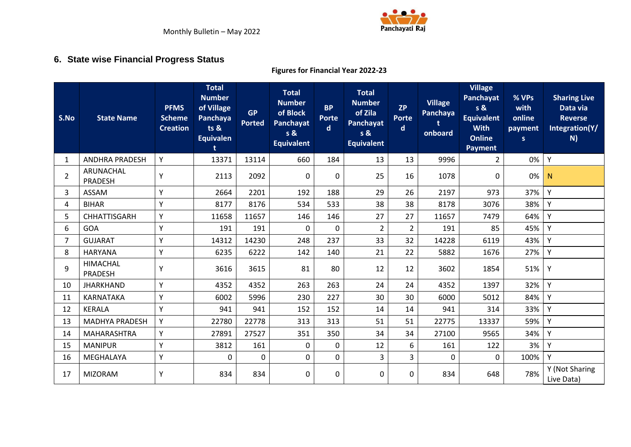

## **6. State wise Financial Progress Status**

#### **Figures for Financial Year 2022-23**

<span id="page-15-0"></span>

| S.No           | <b>State Name</b>           | <b>PFMS</b><br><b>Scheme</b><br><b>Creation</b> | <b>Total</b><br><b>Number</b><br>of Village<br>Panchaya<br>ts <sub>8</sub><br><b>Equivalen</b> | <b>GP</b><br><b>Ported</b> | <b>Total</b><br><b>Number</b><br>of Block<br><b>Panchayat</b><br>s &<br><b>Equivalent</b> | <b>BP</b><br><b>Porte</b><br>$\mathsf{d}$ | <b>Total</b><br><b>Number</b><br>of Zila<br>Panchayat<br>s &<br><b>Equivalent</b> | <b>ZP</b><br><b>Porte</b><br>$\mathsf{d}$ | <b>Village</b><br>Panchaya<br>onboard | <b>Village</b><br>Panchayat<br>s &<br><b>Equivalent</b><br><b>With</b><br><b>Online</b><br>Payment | % VPs<br>with<br>online<br>payment<br>S | <b>Sharing Live</b><br>Data via<br><b>Reverse</b><br>Integration(Y/<br>N) |
|----------------|-----------------------------|-------------------------------------------------|------------------------------------------------------------------------------------------------|----------------------------|-------------------------------------------------------------------------------------------|-------------------------------------------|-----------------------------------------------------------------------------------|-------------------------------------------|---------------------------------------|----------------------------------------------------------------------------------------------------|-----------------------------------------|---------------------------------------------------------------------------|
| 1              | <b>ANDHRA PRADESH</b>       | Y                                               | 13371                                                                                          | 13114                      | 660                                                                                       | 184                                       | 13                                                                                | 13                                        | 9996                                  | $\overline{2}$                                                                                     | 0%                                      | Y                                                                         |
| $\overline{2}$ | ARUNACHAL<br><b>PRADESH</b> | Υ                                               | 2113                                                                                           | 2092                       | 0                                                                                         | 0                                         | 25                                                                                | 16                                        | 1078                                  | 0                                                                                                  | 0%                                      | N                                                                         |
| 3              | ASSAM                       | Υ                                               | 2664                                                                                           | 2201                       | 192                                                                                       | 188                                       | 29                                                                                | 26                                        | 2197                                  | 973                                                                                                | 37%                                     | Y                                                                         |
| 4              | <b>BIHAR</b>                | Υ                                               | 8177                                                                                           | 8176                       | 534                                                                                       | 533                                       | 38                                                                                | 38                                        | 8178                                  | 3076                                                                                               | 38%                                     | Y                                                                         |
| 5              | CHHATTISGARH                | Υ                                               | 11658                                                                                          | 11657                      | 146                                                                                       | 146                                       | 27                                                                                | 27                                        | 11657                                 | 7479                                                                                               | 64%                                     | Y                                                                         |
| 6              | GOA                         | Y                                               | 191                                                                                            | 191                        | 0                                                                                         | 0                                         | $\overline{2}$                                                                    | $\overline{2}$                            | 191                                   | 85                                                                                                 | 45%                                     | Y                                                                         |
| 7              | <b>GUJARAT</b>              | Ý                                               | 14312                                                                                          | 14230                      | 248                                                                                       | 237                                       | 33                                                                                | 32                                        | 14228                                 | 6119                                                                                               | 43%                                     | Y                                                                         |
| 8              | <b>HARYANA</b>              | Ý                                               | 6235                                                                                           | 6222                       | 142                                                                                       | 140                                       | 21                                                                                | 22                                        | 5882                                  | 1676                                                                                               | 27%                                     | Y                                                                         |
| 9              | <b>HIMACHAL</b><br>PRADESH  | Υ                                               | 3616                                                                                           | 3615                       | 81                                                                                        | 80                                        | 12                                                                                | 12                                        | 3602                                  | 1854                                                                                               | 51%                                     | Y                                                                         |
| 10             | <b>JHARKHAND</b>            | Υ                                               | 4352                                                                                           | 4352                       | 263                                                                                       | 263                                       | 24                                                                                | 24                                        | 4352                                  | 1397                                                                                               | 32%                                     | Y                                                                         |
| 11             | KARNATAKA                   | Y                                               | 6002                                                                                           | 5996                       | 230                                                                                       | 227                                       | 30                                                                                | 30                                        | 6000                                  | 5012                                                                                               | 84%                                     | Y                                                                         |
| 12             | <b>KERALA</b>               | Ý                                               | 941                                                                                            | 941                        | 152                                                                                       | 152                                       | 14                                                                                | 14                                        | 941                                   | 314                                                                                                | 33%                                     | Y                                                                         |
| 13             | <b>MADHYA PRADESH</b>       | Ý                                               | 22780                                                                                          | 22778                      | 313                                                                                       | 313                                       | 51                                                                                | 51                                        | 22775                                 | 13337                                                                                              | 59%                                     | Y                                                                         |
| 14             | <b>MAHARASHTRA</b>          | Y                                               | 27891                                                                                          | 27527                      | 351                                                                                       | 350                                       | 34                                                                                | 34                                        | 27100                                 | 9565                                                                                               | 34%                                     | Y                                                                         |
| 15             | <b>MANIPUR</b>              | Y                                               | 3812                                                                                           | 161                        | $\mathbf 0$                                                                               | 0                                         | 12                                                                                | 6                                         | 161                                   | 122                                                                                                | 3%                                      | Y                                                                         |
| 16             | MEGHALAYA                   | Y                                               | 0                                                                                              | 0                          | $\pmb{0}$                                                                                 | 0                                         | 3                                                                                 | 3                                         | $\pmb{0}$                             | 0                                                                                                  | 100%                                    | Y                                                                         |
| 17             | <b>MIZORAM</b>              | Υ                                               | 834                                                                                            | 834                        | 0                                                                                         | 0                                         | 0                                                                                 | $\mathbf{0}$                              | 834                                   | 648                                                                                                | 78%                                     | Y (Not Sharing<br>Live Data)                                              |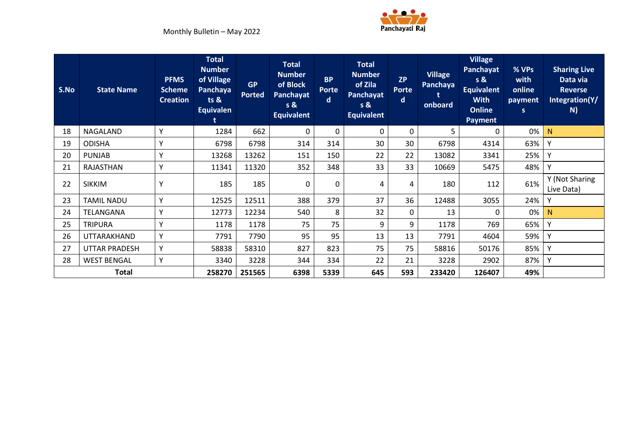

| S.No | <b>State Name</b>    | <b>PFMS</b><br><b>Scheme</b><br><b>Creation</b> | <b>Total</b><br><b>Number</b><br>of Village<br>Panchaya<br>ts <sub>8</sub><br><b>Equivalen</b> | <b>GP</b><br><b>Ported</b> | <b>Total</b><br><b>Number</b><br>of Block<br><b>Panchayat</b><br>s &<br><b>Equivalent</b> | <b>BP</b><br><b>Porte</b><br>$\mathsf{d}$ | <b>Total</b><br><b>Number</b><br>of Zila<br>Panchayat<br>s &<br><b>Equivalent</b> | <b>ZP</b><br><b>Porte</b><br>$\mathbf d$ | <b>Village</b><br>Panchaya<br>onboard | <b>Village</b><br>Panchayat<br>s &<br><b>Equivalent</b><br><b>With</b><br><b>Online</b><br><b>Payment</b> | % VPs<br>with<br>online<br>payment<br>s. | <b>Sharing Live</b><br>Data via<br><b>Reverse</b><br>Integration(Y/<br>N) |
|------|----------------------|-------------------------------------------------|------------------------------------------------------------------------------------------------|----------------------------|-------------------------------------------------------------------------------------------|-------------------------------------------|-----------------------------------------------------------------------------------|------------------------------------------|---------------------------------------|-----------------------------------------------------------------------------------------------------------|------------------------------------------|---------------------------------------------------------------------------|
| 18   | <b>NAGALAND</b>      | Y                                               | 1284                                                                                           | 662                        | 0                                                                                         | 0                                         | 0                                                                                 | 0                                        | 5                                     | 0                                                                                                         | 0%                                       | N                                                                         |
| 19   | <b>ODISHA</b>        | Y                                               | 6798                                                                                           | 6798                       | 314                                                                                       | 314                                       | 30                                                                                | 30                                       | 6798                                  | 4314                                                                                                      | 63%                                      | Υ                                                                         |
| 20   | <b>PUNJAB</b>        | Y                                               | 13268                                                                                          | 13262                      | 151                                                                                       | 150                                       | 22                                                                                | 22                                       | 13082                                 | 3341                                                                                                      | 25%                                      | Y                                                                         |
| 21   | RAJASTHAN            | Y                                               | 11341                                                                                          | 11320                      | 352                                                                                       | 348                                       | 33                                                                                | 33                                       | 10669                                 | 5475                                                                                                      | 48%                                      | Υ                                                                         |
| 22   | <b>SIKKIM</b>        | Y                                               | 185                                                                                            | 185                        | 0                                                                                         | 0                                         | 4                                                                                 | 4                                        | 180                                   | 112                                                                                                       | 61%                                      | Y (Not Sharing<br>Live Data)                                              |
| 23   | <b>TAMIL NADU</b>    | Y                                               | 12525                                                                                          | 12511                      | 388                                                                                       | 379                                       | 37                                                                                | 36                                       | 12488                                 | 3055                                                                                                      | 24%                                      | γ                                                                         |
| 24   | TELANGANA            | Y                                               | 12773                                                                                          | 12234                      | 540                                                                                       | 8                                         | 32                                                                                | 0                                        | 13                                    | $\Omega$                                                                                                  | 0%                                       | N                                                                         |
| 25   | <b>TRIPURA</b>       | Y                                               | 1178                                                                                           | 1178                       | 75                                                                                        | 75                                        | 9                                                                                 | 9                                        | 1178                                  | 769                                                                                                       | 65%                                      | Y                                                                         |
| 26   | UTTARAKHAND          | Y                                               | 7791                                                                                           | 7790                       | 95                                                                                        | 95                                        | 13                                                                                | 13                                       | 7791                                  | 4604                                                                                                      | 59%                                      | Y                                                                         |
| 27   | <b>UTTAR PRADESH</b> | Y                                               | 58838                                                                                          | 58310                      | 827                                                                                       | 823                                       | 75                                                                                | 75                                       | 58816                                 | 50176                                                                                                     | 85%                                      | Y                                                                         |
| 28   | <b>WEST BENGAL</b>   | Y                                               | 3340                                                                                           | 3228                       | 344                                                                                       | 334                                       | 22                                                                                | 21                                       | 3228                                  | 2902                                                                                                      | 87%                                      | Υ                                                                         |
|      | <b>Total</b>         |                                                 | 258270                                                                                         | 251565                     | 6398                                                                                      | 5339                                      | 645                                                                               | 593                                      | 233420                                | 126407                                                                                                    | 49%                                      |                                                                           |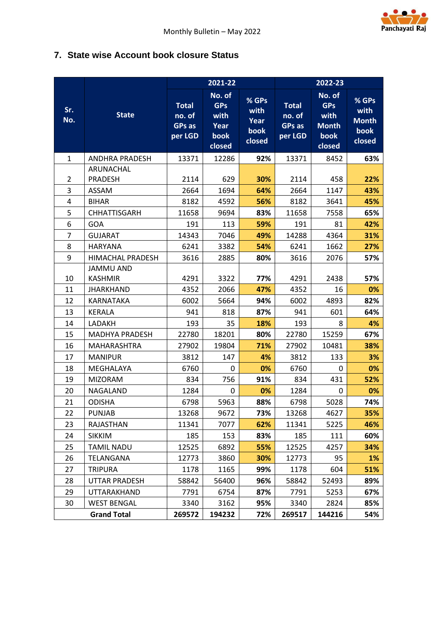

## <span id="page-17-0"></span>**7. State wise Account book closure Status**

|                |                                    |                                                    | 2021-22                                                |                                           |                                                    | 2022-23                                                        |                                                   |
|----------------|------------------------------------|----------------------------------------------------|--------------------------------------------------------|-------------------------------------------|----------------------------------------------------|----------------------------------------------------------------|---------------------------------------------------|
| Sr.<br>No.     | <b>State</b>                       | <b>Total</b><br>no. of<br><b>GPs as</b><br>per LGD | No. of<br><b>GPs</b><br>with<br>Year<br>book<br>closed | $%$ GPs<br>with<br>Year<br>book<br>closed | <b>Total</b><br>no. of<br><b>GPs as</b><br>per LGD | No. of<br><b>GPs</b><br>with<br><b>Month</b><br>book<br>closed | $%$ GPs<br>with<br><b>Month</b><br>book<br>closed |
| $\mathbf{1}$   | <b>ANDHRA PRADESH</b>              | 13371                                              | 12286                                                  | 92%                                       | 13371                                              | 8452                                                           | 63%                                               |
|                | ARUNACHAL                          |                                                    |                                                        |                                           |                                                    |                                                                |                                                   |
| 2              | <b>PRADESH</b>                     | 2114                                               | 629                                                    | 30%                                       | 2114                                               | 458                                                            | 22%                                               |
| 3              | ASSAM                              | 2664                                               | 1694                                                   | 64%                                       | 2664                                               | 1147                                                           | 43%                                               |
| 4              | <b>BIHAR</b>                       | 8182                                               | 4592                                                   | 56%                                       | 8182                                               | 3641                                                           | 45%                                               |
| 5              | <b>CHHATTISGARH</b>                | 11658                                              | 9694                                                   | 83%                                       | 11658                                              | 7558                                                           | 65%                                               |
| 6              | <b>GOA</b>                         | 191                                                | 113                                                    | 59%                                       | 191                                                | 81                                                             | 42%                                               |
| $\overline{7}$ | <b>GUJARAT</b>                     | 14343                                              | 7046                                                   | 49%                                       | 14288                                              | 4364                                                           | 31%                                               |
| 8              | <b>HARYANA</b>                     | 6241                                               | 3382                                                   | 54%                                       | 6241                                               | 1662                                                           | 27%                                               |
| 9              | <b>HIMACHAL PRADESH</b>            | 3616                                               | 2885                                                   | 80%                                       | 3616                                               | 2076                                                           | 57%                                               |
| 10             | <b>JAMMU AND</b><br><b>KASHMIR</b> | 4291                                               | 3322                                                   | 77%                                       | 4291                                               | 2438                                                           | 57%                                               |
| 11             | <b>JHARKHAND</b>                   | 4352                                               | 2066                                                   | 47%                                       | 4352                                               | 16                                                             | 0%                                                |
| 12             | <b>KARNATAKA</b>                   | 6002                                               | 5664                                                   | 94%                                       | 6002                                               | 4893                                                           | 82%                                               |
| 13             | <b>KERALA</b>                      | 941                                                | 818                                                    | 87%                                       | 941                                                | 601                                                            | 64%                                               |
| 14             | LADAKH                             | 193                                                | 35                                                     | 18%                                       | 193                                                | 8                                                              | 4%                                                |
| 15             | <b>MADHYA PRADESH</b>              | 22780                                              | 18201                                                  | 80%                                       | 22780                                              | 15259                                                          | 67%                                               |
| 16             | <b>MAHARASHTRA</b>                 | 27902                                              | 19804                                                  | 71%                                       | 27902                                              | 10481                                                          | 38%                                               |
| 17             | <b>MANIPUR</b>                     | 3812                                               | 147                                                    | 4%                                        | 3812                                               | 133                                                            | 3%                                                |
| 18             | MEGHALAYA                          | 6760                                               | 0                                                      | 0%                                        | 6760                                               | 0                                                              | 0%                                                |
| 19             | <b>MIZORAM</b>                     | 834                                                | 756                                                    | 91%                                       | 834                                                | 431                                                            | 52%                                               |
| 20             | NAGALAND                           | 1284                                               | 0                                                      | 0%                                        | 1284                                               | 0                                                              | 0%                                                |
| 21             | <b>ODISHA</b>                      | 6798                                               | 5963                                                   | 88%                                       | 6798                                               | 5028                                                           | 74%                                               |
| 22             | PUNJAB                             | 13268                                              | 9672                                                   | 73%                                       | 13268                                              | 4627                                                           | 35%                                               |
| 23             | RAJASTHAN                          | 11341                                              | 7077                                                   | 62%                                       | 11341                                              | 5225                                                           | 46%                                               |
| 24             | <b>SIKKIM</b>                      | 185                                                | 153                                                    | 83%                                       | 185                                                | 111                                                            | 60%                                               |
| 25             | <b>TAMIL NADU</b>                  | 12525                                              | 6892                                                   | 55%                                       | 12525                                              | 4257                                                           | 34%                                               |
| 26             | TELANGANA                          | 12773                                              | 3860                                                   | 30%                                       | 12773                                              | 95                                                             | 1%                                                |
| 27             | <b>TRIPURA</b>                     | 1178                                               | 1165                                                   | 99%                                       | 1178                                               | 604                                                            | 51%                                               |
| 28             | <b>UTTAR PRADESH</b>               | 58842                                              | 56400                                                  | 96%                                       | 58842                                              | 52493                                                          | 89%                                               |
| 29             | UTTARAKHAND                        | 7791                                               | 6754                                                   | 87%                                       | 7791                                               | 5253                                                           | 67%                                               |
| 30             | <b>WEST BENGAL</b>                 | 3340                                               | 3162                                                   | 95%                                       | 3340                                               | 2824                                                           | 85%                                               |
|                | <b>Grand Total</b>                 | 269572                                             | 194232                                                 | 72%                                       | 269517                                             | 144216                                                         | 54%                                               |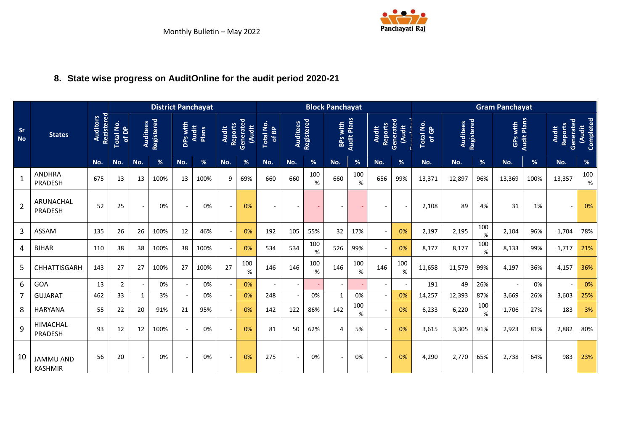

# **8. State wise progress on AuditOnline for the audit period 2020-21**

<span id="page-18-0"></span>

|                        |                                    |                               |                    |                          | <b>District Panchayat</b> |                          |                              |                          |                     |                    |                 |             | <b>Block Panchayat</b>   |                    |                                      |          |                    |          |             | <b>Gram Panchayat</b> |                    |                                             |                     |
|------------------------|------------------------------------|-------------------------------|--------------------|--------------------------|---------------------------|--------------------------|------------------------------|--------------------------|---------------------|--------------------|-----------------|-------------|--------------------------|--------------------|--------------------------------------|----------|--------------------|----------|-------------|-----------------------|--------------------|---------------------------------------------|---------------------|
| <b>Sr</b><br><b>No</b> | <b>States</b>                      | Registered<br><b>Auditors</b> | Total No.<br>of DP | <b>Auditees</b>          | Registered                | DPs with                 | <b>Audit</b><br><b>Plans</b> | Reports<br><b>Audit</b>  | Generated<br>(Audit | Total No.<br>of BP | <b>Auditees</b> | Registered  | BPs with                 | <b>Audit Plans</b> | Reports<br>Generated<br><b>Audit</b> | (Audit   | Total No.<br>of GP | Auditees | Registered  | GPs with              | <b>Audit Plans</b> | Generated<br><b>Reports</b><br><b>Audit</b> | Completed<br>(Audit |
|                        |                                    | No.                           | No.                | No.                      | %                         | No.                      | %                            | No.                      | %                   | No.                | No.             | %           | No.                      | $\%$               | No.                                  | %        | No.                | No.      | $\%$        | No.                   | $\%$               | No.                                         | %                   |
| $\mathbf{1}$           | <b>ANDHRA</b><br>PRADESH           | 675                           | 13                 | 13                       | 100%                      | 13                       | 100%                         | 9                        | 69%                 | 660                | 660             | 100<br>%    | 660                      | 100<br>%           | 656                                  | 99%      | 13,371             | 12,897   | 96%         | 13,369                | 100%               | 13,357                                      | 100<br>%            |
| $\overline{2}$         | ARUNACHAL<br>PRADESH               | 52                            | 25                 | $\sim$                   | 0%                        |                          | 0%                           | $\overline{\phantom{a}}$ | 0%                  |                    |                 |             |                          |                    |                                      |          | 2,108              | 89       | 4%          | 31                    | 1%                 |                                             | 0%                  |
| $\mathbf{3}$           | <b>ASSAM</b>                       | 135                           | 26                 | 26                       | 100%                      | 12                       | 46%                          | $\overline{\phantom{a}}$ | 0%                  | 192                | 105             | 55%         | 32                       | 17%                |                                      | 0%       | 2,197              | 2,195    | 100<br>%    | 2,104                 | 96%                | 1,704                                       | 78%                 |
| 4                      | <b>BIHAR</b>                       | 110                           | 38                 | 38                       | 100%                      | 38                       | 100%                         | $\sim$                   | 0%                  | 534                | 534             | 100<br>%    | 526                      | 99%                |                                      | 0%       | 8,177              | 8,177    | 100<br>$\%$ | 8,133                 | 99%                | 1,717                                       | 21%                 |
| 5                      | CHHATTISGARH                       | 143                           | 27                 | 27                       | 100%                      | 27                       | 100%                         | 27                       | 100<br>%            | 146                | 146             | 100<br>$\%$ | 146                      | 100<br>$\%$        | 146                                  | 100<br>% | 11,658             | 11,579   | 99%         | 4,197                 | 36%                | 4,157                                       | 36%                 |
| 6                      | GOA                                | 13                            | 2                  | $\overline{\phantom{a}}$ | 0%                        |                          | 0%                           | $\overline{\phantom{a}}$ | 0%                  |                    |                 |             | $\blacksquare$           |                    |                                      |          | 191                | 49       | 26%         |                       | 0%                 |                                             | 0%                  |
|                        | <b>GUJARAT</b>                     | 462                           | 33                 | 1                        | 3%                        |                          | 0%                           | $\sim$                   | 0%                  | 248                |                 | 0%          | 1                        | 0%                 |                                      | 0%       | 14,257             | 12,393   | 87%         | 3.669                 | 26%                | 3,603                                       | 25%                 |
| 8                      | <b>HARYANA</b>                     | 55                            | 22                 | 20                       | 91%                       | 21                       | 95%                          | $\sim$                   | 0%                  | 142                | 122             | 86%         | 142                      | 100<br>$\%$        |                                      | 0%       | 6,233              | 6,220    | 100<br>%    | 1,706                 | 27%                | 183                                         | 3%                  |
| 9                      | <b>HIMACHAL</b><br>PRADESH         | 93                            | 12                 | 12                       | 100%                      |                          | 0%                           | $\sim$                   | 0%                  | 81                 | 50              | 62%         | 4                        | 5%                 |                                      | 0%       | 3,615              | 3,305    | 91%         | 2,923                 | 81%                | 2,882                                       | 80%                 |
| 10                     | <b>JAMMU AND</b><br><b>KASHMIR</b> | 56                            | 20                 | $\sim$                   | 0%                        | $\overline{\phantom{a}}$ | 0%                           | $\overline{\phantom{a}}$ | 0%                  | 275                |                 | 0%          | $\overline{\phantom{a}}$ | 0%                 | $\sim$                               | 0%       | 4,290              | 2,770    | 65%         | 2,738                 | 64%                | 983                                         | 23%                 |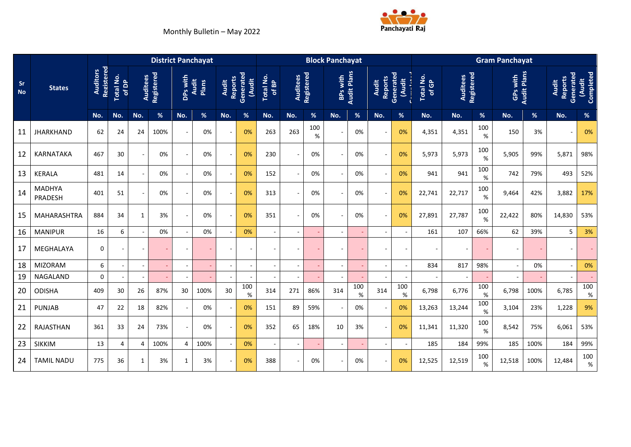

|                        |                          |                               |                          |                          |            |                          | <b>District Panchayat</b> |              |                                      |                           |                          |            | <b>Block Panchayat</b>   |                    |                                |                           |                    |          |             | <b>Gram Panchayat</b>    |                    |                                             |                    |
|------------------------|--------------------------|-------------------------------|--------------------------|--------------------------|------------|--------------------------|---------------------------|--------------|--------------------------------------|---------------------------|--------------------------|------------|--------------------------|--------------------|--------------------------------|---------------------------|--------------------|----------|-------------|--------------------------|--------------------|---------------------------------------------|--------------------|
| <b>Sr</b><br><b>No</b> | <b>States</b>            | Registered<br><b>Auditors</b> | Total No.<br>of DP       | Auditees                 | Registered | DPs with                 | <b>Audit</b><br>Plans     | <b>Audit</b> | Reports<br>Generated<br><b>Audit</b> | <b>Total No.</b><br>of BP | Auditees                 | Registered | BPs with                 | <b>Audit Plans</b> | <b>Reports</b><br><b>Audit</b> | Generated<br><b>Audit</b> | Total No.<br>of GP | Auditees | Registered  | GPs with                 | <b>Audit Plans</b> | Generated<br><b>Reports</b><br><b>Audit</b> | Completed<br>Audit |
|                        |                          | No.                           | No.                      | No.                      | %          | No.                      | %                         | No.          | %                                    | No.                       | No.                      | %          | No.                      | %                  | No.                            | $\frac{9}{6}$             | No.                | No.      | %           | No.                      | %                  | No.                                         | %                  |
| 11                     | <b>JHARKHAND</b>         | 62                            | 24                       | 24                       | 100%       | $\overline{\phantom{a}}$ | 0%                        |              | 0%                                   | 263                       | 263                      | 100<br>%   |                          | 0%                 | $\overline{\phantom{a}}$       | 0%                        | 4,351              | 4,351    | 100<br>%    | 150                      | 3%                 |                                             | 0%                 |
| 12                     | KARNATAKA                | 467                           | 30                       |                          | 0%         |                          | 0%                        |              | 0%                                   | 230                       |                          | 0%         | $\overline{\phantom{a}}$ | 0%                 | $\overline{\phantom{a}}$       | 0%                        | 5,973              | 5,973    | 100<br>$\%$ | 5,905                    | 99%                | 5,871                                       | 98%                |
| 13                     | <b>KERALA</b>            | 481                           | 14                       |                          | 0%         |                          | 0%                        |              | 0%                                   | 152                       |                          | 0%         |                          | 0%                 | $\overline{\phantom{a}}$       | 0%                        | 941                | 941      | 100<br>%    | 742                      | 79%                | 493                                         | 52%                |
| 14                     | <b>MADHYA</b><br>PRADESH | 401                           | 51                       |                          | 0%         |                          | 0%                        |              | 0%                                   | 313                       |                          | 0%         |                          | 0%                 | $\blacksquare$                 | 0%                        | 22,741             | 22,717   | 100<br>%    | 9.464                    | 42%                | 3,882                                       | 17%                |
| 15                     | MAHARASHTRA              | 884                           | 34                       | 1                        | 3%         |                          | 0%                        |              | 0%                                   | 351                       |                          | 0%         | $\overline{\phantom{a}}$ | 0%                 | $\sim$                         | 0%                        | 27,891             | 27,787   | 100<br>%    | 22,422                   | 80%                | 14,830                                      | 53%                |
| 16                     | <b>MANIPUR</b>           | 16                            | 6                        |                          | 0%         |                          | 0%                        |              | 0%                                   | $\sim$                    |                          |            |                          | $\sim$             | $\blacksquare$                 |                           | 161                | 107      | 66%         | 62                       | 39%                | 5                                           | 3%                 |
| 17                     | MEGHALAYA                | $\mathbf 0$                   | $\overline{\phantom{a}}$ | $\overline{\phantom{a}}$ |            |                          |                           |              | $\overline{\phantom{a}}$             |                           |                          |            |                          | $\blacksquare$     | $\sim$                         |                           |                    |          |             | $\overline{\phantom{a}}$ |                    |                                             |                    |
| 18                     | <b>MIZORAM</b>           | 6                             | $\overline{\phantom{a}}$ |                          |            |                          |                           |              | $\overline{\phantom{a}}$             | $\sim$                    | $\overline{\phantom{a}}$ |            | $\blacksquare$           | $\blacksquare$     | $\overline{\phantom{a}}$       |                           | 834                | 817      | 98%         | $\overline{\phantom{a}}$ | 0%                 |                                             | 0%                 |
| 19                     | NAGALAND                 | $\mathbf 0$                   | $\overline{\phantom{a}}$ |                          |            |                          |                           |              |                                      |                           |                          |            | $\overline{\phantom{a}}$ | $\sim$             |                                |                           |                    |          | ٠           |                          |                    |                                             |                    |
| 20                     | <b>ODISHA</b>            | 409                           | 30                       | 26                       | 87%        | 30                       | 100%                      | 30           | 100<br>$\%$                          | 314                       | 271                      | 86%        | 314                      | 100<br>$\%$        | 314                            | 100<br>%                  | 6,798              | 6,776    | 100<br>$\%$ | 6,798                    | 100%               | 6,785                                       | 100<br>%           |
| 21                     | <b>PUNJAB</b>            | 47                            | 22                       | 18                       | 82%        | $\sim$                   | 0%                        |              | 0%                                   | 151                       | 89                       | 59%        | $\overline{\phantom{a}}$ | 0%                 | $\sim$                         | 0%                        | 13,263             | 13,244   | 100<br>%    | 3,104                    | 23%                | 1,228                                       | 9%                 |
| 22                     | RAJASTHAN                | 361                           | 33                       | 24                       | 73%        | $\overline{\phantom{a}}$ | 0%                        |              | 0%                                   | 352                       | 65                       | 18%        | 10                       | 3%                 | $\overline{\phantom{a}}$       | 0%                        | 11,341             | 11,320   | 100<br>%    | 8,542                    | 75%                | 6,061                                       | 53%                |
| 23                     | <b>SIKKIM</b>            | 13                            | 4                        | $\overline{a}$           | 100%       | 4                        | 100%                      |              | 0%                                   | $\sim$                    | $\sim$                   |            | $\overline{\phantom{a}}$ | $\sim$             | $\blacksquare$                 |                           | 185                | 184      | 99%         | 185                      | 100%               | 184                                         | 99%                |
| 24                     | <b>TAMIL NADU</b>        | 775                           | 36                       | 1                        | 3%         | $\mathbf{1}$             | 3%                        |              | 0%                                   | 388                       |                          | 0%         | $\overline{\phantom{a}}$ | 0%                 | $\overline{\phantom{a}}$       | 0%                        | 12,525             | 12,519   | 100<br>%    | 12,518                   | 100%               | 12,484                                      | 100<br>%           |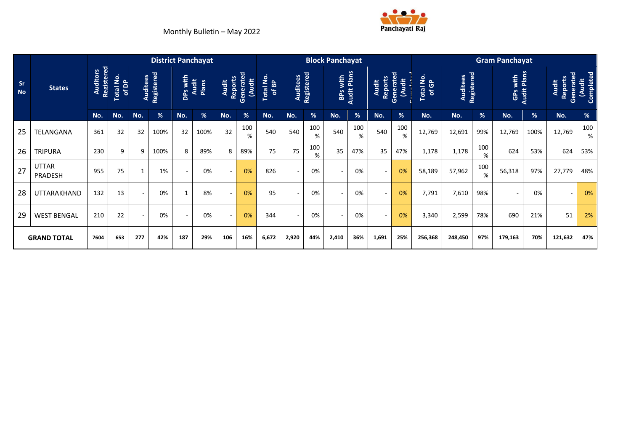

|                        |                         |                               |                    |                |                               |                     | <b>District Panchayat</b> |                                |                            |                    |                               |               | <b>Block Panchayat</b> |                    |                                |                           |                    |                               |                | <b>Gram Panchayat</b> |                    |                                      |                           |
|------------------------|-------------------------|-------------------------------|--------------------|----------------|-------------------------------|---------------------|---------------------------|--------------------------------|----------------------------|--------------------|-------------------------------|---------------|------------------------|--------------------|--------------------------------|---------------------------|--------------------|-------------------------------|----------------|-----------------------|--------------------|--------------------------------------|---------------------------|
| <b>Sr</b><br><b>No</b> | <b>States</b>           | Registered<br><b>Auditors</b> | Total No.<br>of DP |                | <b>Auditees</b><br>Registered | DPs with<br>__Audit | Plans                     | <b>Reports</b><br><b>Audit</b> | Generated<br><b>(Audit</b> | Total No.<br>of BP | <b>Auditees</b><br>Registered |               | with<br><b>BPS</b>     | <b>Audit Plans</b> | <b>Reports</b><br><b>Audit</b> | Generated<br><b>Audit</b> | Total No.<br>of GP | <b>Auditees</b><br>Registered |                | GPs with              | <b>Audit Plans</b> | Generated<br>Reports<br><b>Audit</b> | Completed<br><b>Audit</b> |
|                        |                         | No.                           | No.                | No.            | %                             | No.                 | %                         | No.                            | $\frac{9}{6}$              | No.                | No.                           | $\frac{9}{6}$ | No.                    | $\frac{9}{6}$      | No.                            | $\frac{9}{6}$             | No.                | No.                           | $\frac{96}{6}$ | No.                   | $\%$               | No.                                  | $\%$                      |
| 25                     | <b>TELANGANA</b>        | 361                           | 32                 | 32             | 100%                          | 32                  | 100%                      | 32                             | 100<br>%                   | 540                | 540                           | 100<br>%      | 540                    | 100<br>%           | 540                            | 100<br>%                  | 12,769             | 12,691                        | 99%            | 12,769                | 100%               | 12,769                               | 100<br>%                  |
| 26                     | <b>TRIPURA</b>          | 230                           | 9                  | 9              | 100%                          | 8                   | 89%                       | 8                              | 89%                        | 75                 | 75                            | 100<br>%      | 35                     | 47%                | 35                             | 47%                       | 1,178              | 1,178                         | 100<br>%       | 624                   | 53%                | 624                                  | 53%                       |
| 27                     | <b>UTTAR</b><br>PRADESH | 955                           | 75                 | $\overline{1}$ | 1%                            |                     | 0%                        | $\overline{\phantom{a}}$       | 0%                         | 826                | $\sim$                        | 0%            |                        | 0%                 | ۰                              | 0%                        | 58,189             | 57,962                        | 100<br>%       | 56,318                | 97%                | 27,779                               | 48%                       |
| 28                     | UTTARAKHAND             | 132                           | 13                 |                | 0%                            | $\mathbf{1}$        | 8%                        |                                | 0%                         | 95                 | ٠                             | 0%            |                        | 0%                 | ۰                              | 0%                        | 7,791              | 7,610                         | 98%            |                       | 0%                 |                                      | 0%                        |
| 29                     | <b>WEST BENGAL</b>      | 210                           | 22                 |                | 0%                            | $\sim$              | 0%                        | $\sim$                         | 0%                         | 344                | ٠                             | 0%            | ٠                      | 0%                 | ۰                              | 0%                        | 3,340              | 2,599                         | 78%            | 690                   | 21%                | 51                                   | 2%                        |
|                        | <b>GRAND TOTAL</b>      | 7604                          | 653                | 277            | 42%                           | 187                 | 29%                       | 106                            | 16%                        | 6,672              | 2,920                         | 44%           | 2,410                  | 36%                | 1,691                          | 25%                       | 256,368            | 248,450                       | 97%            | 179,163               | 70%                | 121,632                              | 47%                       |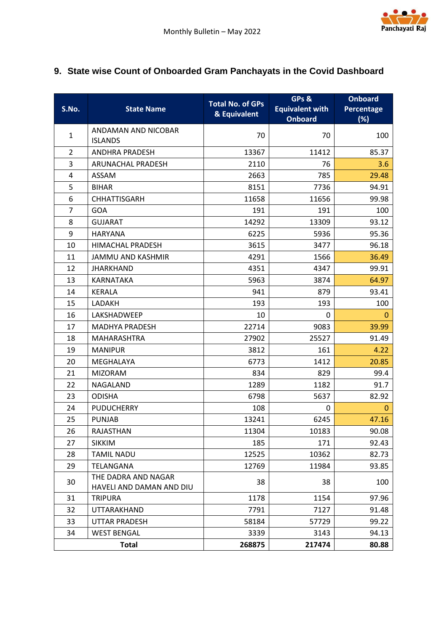

## <span id="page-21-0"></span>**9. State wise Count of Onboarded Gram Panchayats in the Covid Dashboard**

| S.No.          | <b>State Name</b>                               | <b>Total No. of GPs</b><br>& Equivalent | GPs &<br><b>Equivalent with</b><br><b>Onboard</b> | <b>Onboard</b><br><b>Percentage</b><br>(%) |
|----------------|-------------------------------------------------|-----------------------------------------|---------------------------------------------------|--------------------------------------------|
| $\mathbf{1}$   | ANDAMAN AND NICOBAR<br><b>ISLANDS</b>           | 70                                      | 70                                                | 100                                        |
| $\overline{2}$ | <b>ANDHRA PRADESH</b>                           | 13367                                   | 11412                                             | 85.37                                      |
| 3              | ARUNACHAL PRADESH                               | 2110                                    | 76                                                | 3.6                                        |
| $\overline{4}$ | <b>ASSAM</b>                                    | 2663                                    | 785                                               | 29.48                                      |
| 5              | <b>BIHAR</b>                                    | 8151                                    | 7736                                              | 94.91                                      |
| 6              | <b>CHHATTISGARH</b>                             | 11658                                   | 11656                                             | 99.98                                      |
| $\overline{7}$ | <b>GOA</b>                                      | 191                                     | 191                                               | 100                                        |
| 8              | <b>GUJARAT</b>                                  | 14292                                   | 13309                                             | 93.12                                      |
| 9              | <b>HARYANA</b>                                  | 6225                                    | 5936                                              | 95.36                                      |
| 10             | <b>HIMACHAL PRADESH</b>                         | 3615                                    | 3477                                              | 96.18                                      |
| 11             | <b>JAMMU AND KASHMIR</b>                        | 4291                                    | 1566                                              | 36.49                                      |
| 12             | <b>JHARKHAND</b>                                | 4351                                    | 4347                                              | 99.91                                      |
| 13             | <b>KARNATAKA</b>                                | 5963                                    | 3874                                              | 64.97                                      |
| 14             | <b>KERALA</b>                                   | 941                                     | 879                                               | 93.41                                      |
| 15             | LADAKH                                          | 193                                     | 193                                               | 100                                        |
| 16             | LAKSHADWEEP                                     | 10                                      | 0                                                 | 0                                          |
| 17             | <b>MADHYA PRADESH</b>                           | 22714                                   | 9083                                              | 39.99                                      |
| 18             | <b>MAHARASHTRA</b>                              | 27902                                   | 25527                                             | 91.49                                      |
| 19             | <b>MANIPUR</b>                                  | 3812                                    | 161                                               | 4.22                                       |
| 20             | MEGHALAYA                                       | 6773                                    | 1412                                              | 20.85                                      |
| 21             | <b>MIZORAM</b>                                  | 834                                     | 829                                               | 99.4                                       |
| 22             | <b>NAGALAND</b>                                 | 1289                                    | 1182                                              | 91.7                                       |
| 23             | <b>ODISHA</b>                                   | 6798                                    | 5637                                              | 82.92                                      |
| 24             | <b>PUDUCHERRY</b>                               | 108                                     | 0                                                 | 0                                          |
| 25             | <b>PUNJAB</b>                                   | 13241                                   | 6245                                              | 47.16                                      |
| 26             | RAJASTHAN                                       | 11304                                   | 10183                                             | 90.08                                      |
| 27             | <b>SIKKIM</b>                                   | 185                                     | 171                                               | 92.43                                      |
| 28             | <b>TAMIL NADU</b>                               | 12525                                   | 10362                                             | 82.73                                      |
| 29             | TELANGANA                                       | 12769                                   | 11984                                             | 93.85                                      |
| 30             | THE DADRA AND NAGAR<br>HAVELI AND DAMAN AND DIU | 38                                      | 38                                                | 100                                        |
| 31             | <b>TRIPURA</b>                                  | 1178                                    | 1154                                              | 97.96                                      |
| 32             | UTTARAKHAND                                     | 7791                                    | 7127                                              | 91.48                                      |
| 33             | <b>UTTAR PRADESH</b>                            | 58184                                   | 57729                                             | 99.22                                      |
| 34             | <b>WEST BENGAL</b>                              | 3339                                    | 3143                                              | 94.13                                      |
|                | <b>Total</b>                                    | 268875                                  | 217474                                            | 80.88                                      |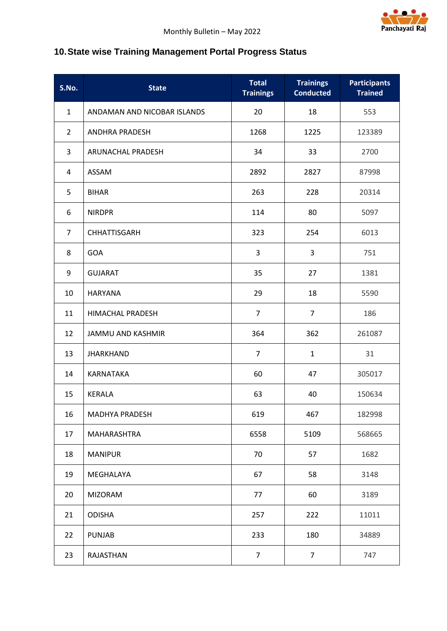

# <span id="page-22-0"></span>**10.State wise Training Management Portal Progress Status**

| S.No.          | <b>State</b>                | <b>Total</b><br><b>Trainings</b> | <b>Trainings</b><br><b>Conducted</b> | <b>Participants</b><br><b>Trained</b> |
|----------------|-----------------------------|----------------------------------|--------------------------------------|---------------------------------------|
| $\mathbf{1}$   | ANDAMAN AND NICOBAR ISLANDS | 20                               | 18                                   | 553                                   |
| $\overline{2}$ | <b>ANDHRA PRADESH</b>       | 1268                             | 1225                                 | 123389                                |
| 3              | ARUNACHAL PRADESH           | 34                               | 33                                   | 2700                                  |
| 4              | ASSAM                       | 2892                             | 2827                                 | 87998                                 |
| 5              | <b>BIHAR</b>                | 263                              | 228                                  | 20314                                 |
| 6              | <b>NIRDPR</b>               | 114                              | 80                                   | 5097                                  |
| $\overline{7}$ | CHHATTISGARH                | 323                              | 254                                  | 6013                                  |
| 8              | GOA                         | 3                                | 3                                    | 751                                   |
| 9              | <b>GUJARAT</b>              | 35                               | 27                                   | 1381                                  |
| 10             | <b>HARYANA</b>              | 29                               | 18                                   | 5590                                  |
| 11             | HIMACHAL PRADESH            | $\overline{7}$                   | $\overline{7}$                       | 186                                   |
| 12             | <b>JAMMU AND KASHMIR</b>    | 364                              | 362                                  | 261087                                |
| 13             | <b>JHARKHAND</b>            | $\overline{7}$                   | $\mathbf{1}$                         | 31                                    |
| 14             | KARNATAKA                   | 60                               | 47                                   | 305017                                |
| 15             | <b>KERALA</b>               | 63                               | 40                                   | 150634                                |
| 16             | MADHYA PRADESH              | 619                              | 467                                  | 182998                                |
| 17             | MAHARASHTRA                 | 6558                             | 5109                                 | 568665                                |
| 18             | <b>MANIPUR</b>              | 70                               | 57                                   | 1682                                  |
| 19             | MEGHALAYA                   | 67                               | 58                                   | 3148                                  |
| 20             | <b>MIZORAM</b>              | 77                               | 60                                   | 3189                                  |
| 21             | <b>ODISHA</b>               | 257                              | 222                                  | 11011                                 |
| 22             | <b>PUNJAB</b>               | 233                              | 180                                  | 34889                                 |
| 23             | RAJASTHAN                   | $\overline{7}$                   | $\overline{7}$                       | 747                                   |